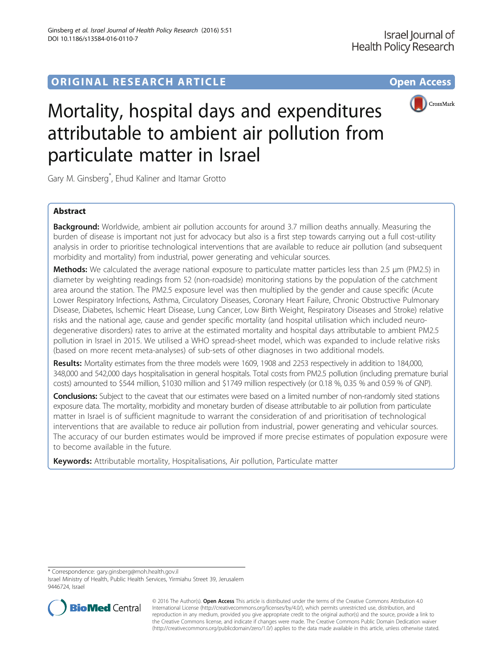# **ORIGINAL RESEARCH ARTICLE CONSUMING ACCESS**



# Mortality, hospital days and expenditures attributable to ambient air pollution from particulate matter in Israel

Gary M. Ginsberg\* , Ehud Kaliner and Itamar Grotto

# Abstract

**Background:** Worldwide, ambient air pollution accounts for around 3.7 million deaths annually. Measuring the burden of disease is important not just for advocacy but also is a first step towards carrying out a full cost-utility analysis in order to prioritise technological interventions that are available to reduce air pollution (and subsequent morbidity and mortality) from industrial, power generating and vehicular sources.

Methods: We calculated the average national exposure to particulate matter particles less than 2.5 μm (PM2.5) in diameter by weighting readings from 52 (non-roadside) monitoring stations by the population of the catchment area around the station. The PM2.5 exposure level was then multiplied by the gender and cause specific (Acute Lower Respiratory Infections, Asthma, Circulatory Diseases, Coronary Heart Failure, Chronic Obstructive Pulmonary Disease, Diabetes, Ischemic Heart Disease, Lung Cancer, Low Birth Weight, Respiratory Diseases and Stroke) relative risks and the national age, cause and gender specific mortality (and hospital utilisation which included neurodegenerative disorders) rates to arrive at the estimated mortality and hospital days attributable to ambient PM2.5 pollution in Israel in 2015. We utilised a WHO spread-sheet model, which was expanded to include relative risks (based on more recent meta-analyses) of sub-sets of other diagnoses in two additional models.

Results: Mortality estimates from the three models were 1609, 1908 and 2253 respectively in addition to 184,000, 348,000 and 542,000 days hospitalisation in general hospitals. Total costs from PM2.5 pollution (including premature burial costs) amounted to \$544 million, \$1030 million and \$1749 million respectively (or 0.18 %, 0.35 % and 0.59 % of GNP).

Conclusions: Subject to the caveat that our estimates were based on a limited number of non-randomly sited stations exposure data. The mortality, morbidity and monetary burden of disease attributable to air pollution from particulate matter in Israel is of sufficient magnitude to warrant the consideration of and prioritisation of technological interventions that are available to reduce air pollution from industrial, power generating and vehicular sources. The accuracy of our burden estimates would be improved if more precise estimates of population exposure were to become available in the future.

Keywords: Attributable mortality, Hospitalisations, Air pollution, Particulate matter

\* Correspondence: [gary.ginsberg@moh.health.gov.il](mailto:gary.ginsberg@moh.health.gov.il)

Israel Ministry of Health, Public Health Services, Yirmiahu Street 39, Jerusalem 9446724, Israel



© 2016 The Author(s). Open Access This article is distributed under the terms of the Creative Commons Attribution 4.0 International License [\(http://creativecommons.org/licenses/by/4.0/](http://creativecommons.org/licenses/by/4.0/)), which permits unrestricted use, distribution, and reproduction in any medium, provided you give appropriate credit to the original author(s) and the source, provide a link to the Creative Commons license, and indicate if changes were made. The Creative Commons Public Domain Dedication waiver [\(http://creativecommons.org/publicdomain/zero/1.0/](http://creativecommons.org/publicdomain/zero/1.0/)) applies to the data made available in this article, unless otherwise stated.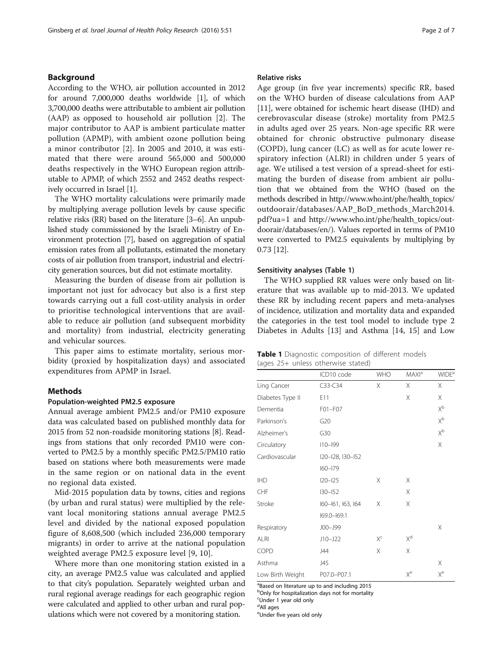# Background

According to the WHO, air pollution accounted in 2012 for around 7,000,000 deaths worldwide [\[1](#page-6-0)], of which 3,700,000 deaths were attributable to ambient air pollution (AAP) as opposed to household air pollution [[2](#page-6-0)]. The major contributor to AAP is ambient particulate matter pollution (APMP), with ambient ozone pollution being a minor contributor [[2\]](#page-6-0). In 2005 and 2010, it was estimated that there were around 565,000 and 500,000 deaths respectively in the WHO European region attributable to APMP, of which 2552 and 2452 deaths respectively occurred in Israel [\[1](#page-6-0)].

The WHO mortality calculations were primarily made by multiplying average pollution levels by cause specific relative risks (RR) based on the literature [[3](#page-6-0)–[6\]](#page-6-0). An unpublished study commissioned by the Israeli Ministry of Environment protection [\[7\]](#page-6-0), based on aggregation of spatial emission rates from all pollutants, estimated the monetary costs of air pollution from transport, industrial and electricity generation sources, but did not estimate mortality.

Measuring the burden of disease from air pollution is important not just for advocacy but also is a first step towards carrying out a full cost-utility analysis in order to prioritise technological interventions that are available to reduce air pollution (and subsequent morbidity and mortality) from industrial, electricity generating and vehicular sources.

This paper aims to estimate mortality, serious morbidity (proxied by hospitalization days) and associated expenditures from APMP in Israel.

# Methods

#### Population-weighted PM2.5 exposure

Annual average ambient PM2.5 and/or PM10 exposure data was calculated based on published monthly data for 2015 from 52 non-roadside monitoring stations [\[8](#page-6-0)]. Readings from stations that only recorded PM10 were converted to PM2.5 by a monthly specific PM2.5/PM10 ratio based on stations where both measurements were made in the same region or on national data in the event no regional data existed.

Mid-2015 population data by towns, cities and regions (by urban and rural status) were multiplied by the relevant local monitoring stations annual average PM2.5 level and divided by the national exposed population figure of 8,608,500 (which included 236,000 temporary migrants) in order to arrive at the national population weighted average PM2.5 exposure level [\[9](#page-6-0), [10\]](#page-6-0).

Where more than one monitoring station existed in a city, an average PM2.5 value was calculated and applied to that city's population. Separately weighted urban and rural regional average readings for each geographic region were calculated and applied to other urban and rural populations which were not covered by a monitoring station.

# Relative risks

Age group (in five year increments) specific RR, based on the WHO burden of disease calculations from AAP [[11\]](#page-6-0), were obtained for ischemic heart disease (IHD) and cerebrovascular disease (stroke) mortality from PM2.5 in adults aged over 25 years. Non-age specific RR were obtained for chronic obstructive pulmonary disease (COPD), lung cancer (LC) as well as for acute lower respiratory infection (ALRI) in children under 5 years of age. We utilised a test version of a spread-sheet for estimating the burden of disease from ambient air pollution that we obtained from the WHO (based on the methods described in [http://www.who.int/phe/health\\_topics/](http://www.who.int/phe/health_topics/outdoorair/databases/AAP_BoD_methods_March2014.pdf?ua=1) [outdoorair/databases/AAP\\_BoD\\_methods\\_March2014.](http://www.who.int/phe/health_topics/outdoorair/databases/AAP_BoD_methods_March2014.pdf?ua=1) [pdf?ua=1](http://www.who.int/phe/health_topics/outdoorair/databases/AAP_BoD_methods_March2014.pdf?ua=1) and [http://www.who.int/phe/health\\_topics/out](http://www.who.int/phe/health_topics/outdoorair/databases/en/)[doorair/databases/en/\)](http://www.who.int/phe/health_topics/outdoorair/databases/en/). Values reported in terms of PM10 were converted to PM2.5 equivalents by multiplying by 0.73 [\[12\]](#page-6-0).

#### Sensitivity analyses (Table 1)

The WHO supplied RR values were only based on literature that was available up to mid-2013. We updated these RR by including recent papers and meta-analyses of incidence, utilization and mortality data and expanded the categories in the test tool model to include type 2 Diabetes in Adults [\[13](#page-6-0)] and Asthma [[14, 15\]](#page-6-0) and Low

|  |  |                                    |  | <b>Table 1</b> Diagnostic composition of different models |  |
|--|--|------------------------------------|--|-----------------------------------------------------------|--|
|  |  | (ages 25+ unless otherwise stated) |  |                                                           |  |

|                  | ICD10 code        | <b>WHO</b> | MAXI <sup>a</sup>         | WIDE <sup>a</sup> |  |
|------------------|-------------------|------------|---------------------------|-------------------|--|
| Ling Cancer      | $C33-C34$         | X          | X                         | X                 |  |
| Diabetes Type II | E11               |            | X                         | X                 |  |
| Dementia         | F01-F07           |            |                           | $X^{\mathsf{b}}$  |  |
| Parkinson's      | G20               |            |                           | $X^b$             |  |
| Alzheimer's      | G30               |            |                           | $X^b$             |  |
| Circulatory      | $110 - 199$       |            |                           | X                 |  |
| Cardiovascular   | 120-128, 130-152  |            |                           |                   |  |
|                  | $160 - 179$       |            |                           |                   |  |
| <b>IHD</b>       | $120 - 125$       | X          | X                         |                   |  |
| CHF              | $130 - 152$       |            | X                         |                   |  |
| Stroke           | 160-161, 163, 164 | Χ          | X                         |                   |  |
|                  | 169.0-169.1       |            |                           |                   |  |
| Respiratory      | J00-J99           |            |                           | X                 |  |
| <b>ALRI</b>      | $J10-J22$         | $X^c$      | $\mathsf{X}^{\mathrm{d}}$ |                   |  |
| COPD             | J44               | X          | X                         |                   |  |
| Asthma           | J45               |            |                           | Χ                 |  |
| Low Birth Weight | P07.0-P07.1       |            | $X^e$                     | $X^e$             |  |

<sup>a</sup>Based on literature up to and including 2015

**bOnly for hospitalization days not for mortality** 

<sup>c</sup>Under 1 year old only <sup>d</sup>All ages

e Under five years old only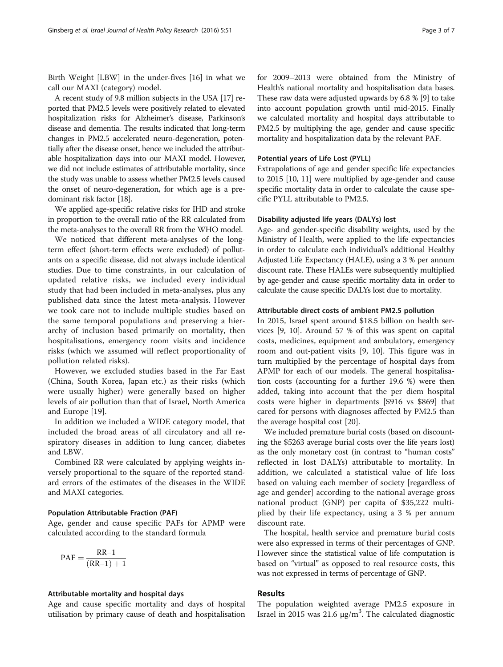Birth Weight [LBW] in the under-fives [\[16\]](#page-6-0) in what we call our MAXI (category) model.

A recent study of 9.8 million subjects in the USA [\[17](#page-6-0)] reported that PM2.5 levels were positively related to elevated hospitalization risks for Alzheimer's disease, Parkinson's disease and dementia. The results indicated that long-term changes in PM2.5 accelerated neuro-degeneration, potentially after the disease onset, hence we included the attributable hospitalization days into our MAXI model. However, we did not include estimates of attributable mortality, since the study was unable to assess whether PM2.5 levels caused the onset of neuro-degeneration, for which age is a predominant risk factor [\[18\]](#page-6-0).

We applied age-specific relative risks for IHD and stroke in proportion to the overall ratio of the RR calculated from the meta-analyses to the overall RR from the WHO model.

We noticed that different meta-analyses of the longterm effect (short-term effects were excluded) of pollutants on a specific disease, did not always include identical studies. Due to time constraints, in our calculation of updated relative risks, we included every individual study that had been included in meta-analyses, plus any published data since the latest meta-analysis. However we took care not to include multiple studies based on the same temporal populations and preserving a hierarchy of inclusion based primarily on mortality, then hospitalisations, emergency room visits and incidence risks (which we assumed will reflect proportionality of pollution related risks).

However, we excluded studies based in the Far East (China, South Korea, Japan etc.) as their risks (which were usually higher) were generally based on higher levels of air pollution than that of Israel, North America and Europe [[19\]](#page-6-0).

In addition we included a WIDE category model, that included the broad areas of all circulatory and all respiratory diseases in addition to lung cancer, diabetes and LBW.

Combined RR were calculated by applying weights inversely proportional to the square of the reported standard errors of the estimates of the diseases in the WIDE and MAXI categories.

#### Population Attributable Fraction (PAF)

Age, gender and cause specific PAFs for APMP were calculated according to the standard formula

$$
\text{PAF} = \frac{\text{RR-1}}{(\text{RR-1})+1}
$$

#### Attributable mortality and hospital days

Age and cause specific mortality and days of hospital utilisation by primary cause of death and hospitalisation for 2009–2013 were obtained from the Ministry of Health's national mortality and hospitalisation data bases. These raw data were adjusted upwards by 6.8 % [[9\]](#page-6-0) to take into account population growth until mid-2015. Finally we calculated mortality and hospital days attributable to PM2.5 by multiplying the age, gender and cause specific mortality and hospitalization data by the relevant PAF.

# Potential years of Life Lost (PYLL)

Extrapolations of age and gender specific life expectancies to 2015 [[10](#page-6-0), [11](#page-6-0)] were multiplied by age-gender and cause specific mortality data in order to calculate the cause specific PYLL attributable to PM2.5.

### Disability adjusted life years (DALYs) lost

Age- and gender-specific disability weights, used by the Ministry of Health, were applied to the life expectancies in order to calculate each individual's additional Healthy Adjusted Life Expectancy (HALE), using a 3 % per annum discount rate. These HALEs were subsequently multiplied by age-gender and cause specific mortality data in order to calculate the cause specific DALYs lost due to mortality.

#### Attributable direct costs of ambient PM2.5 pollution

In 2015, Israel spent around \$18.5 billion on health services [\[9](#page-6-0), [10](#page-6-0)]. Around 57 % of this was spent on capital costs, medicines, equipment and ambulatory, emergency room and out-patient visits [[9, 10](#page-6-0)]. This figure was in turn multiplied by the percentage of hospital days from APMP for each of our models. The general hospitalisation costs (accounting for a further 19.6 %) were then added, taking into account that the per diem hospital costs were higher in departments [\$916 vs \$869] that cared for persons with diagnoses affected by PM2.5 than the average hospital cost [\[20](#page-6-0)].

We included premature burial costs (based on discounting the \$5263 average burial costs over the life years lost) as the only monetary cost (in contrast to "human costs" reflected in lost DALYs) attributable to mortality. In addition, we calculated a statistical value of life loss based on valuing each member of society [regardless of age and gender] according to the national average gross national product (GNP) per capita of \$35,222 multiplied by their life expectancy, using a 3 % per annum discount rate.

The hospital, health service and premature burial costs were also expressed in terms of their percentages of GNP. However since the statistical value of life computation is based on "virtual" as opposed to real resource costs, this was not expressed in terms of percentage of GNP.

# Results

The population weighted average PM2.5 exposure in Israel in 2015 was 21.6  $\mu$ g/m<sup>3</sup>. The calculated diagnostic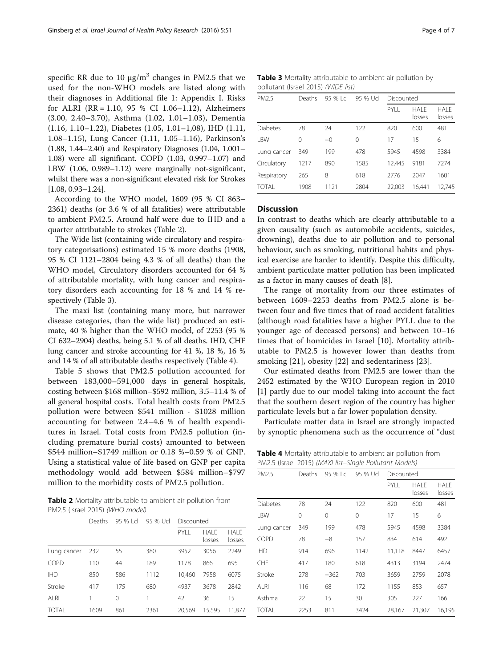specific RR due to 10  $\mu$ g/m<sup>3</sup> changes in PM2.5 that we used for the non-WHO models are listed along with their diagnoses in Additional file [1:](#page-5-0) Appendix I. Risks for ALRI (RR = 1.10, 95 % CI 1.06–1.12), Alzheimers (3.00, 2.40–3.70), Asthma (1.02, 1.01–1.03), Dementia (1.16, 1.10–1.22), Diabetes (1.05, 1.01–1,08), IHD (1.11, 1.08–1.15), Lung Cancer (1.11, 1.05–1.16), Parkinson's (1.88, 1.44–2.40) and Respiratory Diagnoses (1.04, 1.001– 1.08) were all significant. COPD (1.03, 0.997–1.07) and LBW (1.06, 0.989–1.12) were marginally not-significant, whilst there was a non-significant elevated risk for Strokes [1.08, 0.93–1.24].

According to the WHO model, 1609 (95 % CI 863– 2361) deaths (or 3.6 % of all fatalities) were attributable to ambient PM2.5. Around half were due to IHD and a quarter attributable to strokes (Table 2).

The Wide list (containing wide circulatory and respiratory categorisations) estimated 15 % more deaths (1908, 95 % CI 1121–2804 being 4.3 % of all deaths) than the WHO model, Circulatory disorders accounted for 64 % of attributable mortality, with lung cancer and respiratory disorders each accounting for 18 % and 14 % respectively (Table 3).

The maxi list (containing many more, but narrower disease categories, than the wide list) produced an estimate, 40 % higher than the WHO model, of 2253 (95 % CI 632–2904) deaths, being 5.1 % of all deaths. IHD, CHF lung cancer and stroke accounting for 41 %, 18 %, 16 % and 14 % of all attributable deaths respectively (Table 4).

Table [5](#page-4-0) shows that PM2.5 pollution accounted for between 183,000–591,000 days in general hospitals, costing between \$168 million–\$592 million, 3.5–11.4 % of all general hospital costs. Total health costs from PM2.5 pollution were between \$541 million - \$1028 million accounting for between 2.4–4.6 % of health expenditures in Israel. Total costs from PM2.5 pollution (including premature burial costs) amounted to between \$544 million–\$1749 million or 0.18 %–0.59 % of GNP. Using a statistical value of life based on GNP per capita methodology would add between \$584 million–\$797 million to the morbidity costs of PM2.5 pollution.

Table 2 Mortality attributable to ambient air pollution from PM2.5 (Israel 2015) (WHO model)

|              | Deaths | $95%$ Icl | 95 % Ucl | Discounted |                       |                       |
|--------------|--------|-----------|----------|------------|-----------------------|-----------------------|
|              |        |           |          | PYI I      | <b>HAIF</b><br>losses | <b>HAIF</b><br>losses |
| Lung cancer  | 232    | 55        | 380      | 3952       | 3056                  | 2249                  |
| COPD         | 110    | 44        | 189      | 1178       | 866                   | 695                   |
| <b>IHD</b>   | 850    | 586       | 1112     | 10,460     | 7958                  | 6075                  |
| Stroke       | 417    | 175       | 680      | 4937       | 3678                  | 2842                  |
| <b>ALRI</b>  | 1      | 0         | 1        | 42         | 36                    | 15                    |
| <b>TOTAL</b> | 1609   | 861       | 2361     | 20.569     | 15,595                | 11.877                |

Table 3 Mortality attributable to ambient air pollution by pollutant (Israel 2015) (WIDE list)

| PM2.5           | Deaths | 95 % Lcl | 95 % Ucl | Discounted |                       |                       |
|-----------------|--------|----------|----------|------------|-----------------------|-----------------------|
|                 |        |          |          | PYI I      | <b>HAIF</b><br>losses | <b>HAIF</b><br>losses |
| <b>Diabetes</b> | 78     | 24       | 122      | 820        | 600                   | 481                   |
| LBW             | 0      | $-0$     | $\Omega$ | 17         | 15                    | 6                     |
| Lung cancer     | 349    | 199      | 478      | 5945       | 4598                  | 3384                  |
| Circulatory     | 1217   | 890      | 1585     | 12.445     | 9181                  | 7274                  |
| Respiratory     | 265    | 8        | 618      | 2776       | 2047                  | 1601                  |
| <b>TOTAL</b>    | 1908   | 1121     | 2804     | 22,003     | 16.441                | 12,745                |

## **Discussion**

In contrast to deaths which are clearly attributable to a given causality (such as automobile accidents, suicides, drowning), deaths due to air pollution and to personal behaviour, such as smoking, nutritional habits and physical exercise are harder to identify. Despite this difficulty, ambient particulate matter pollution has been implicated as a factor in many causes of death [[8\]](#page-6-0).

The range of mortality from our three estimates of between 1609–2253 deaths from PM2.5 alone is between four and five times that of road accident fatalities (although road fatalities have a higher PYLL due to the younger age of deceased persons) and between 10–16 times that of homicides in Israel [[10\]](#page-6-0). Mortality attributable to PM2.5 is however lower than deaths from smoking [\[21](#page-6-0)], obesity [[22\]](#page-6-0) and sedentariness [\[23](#page-6-0)].

Our estimated deaths from PM2.5 are lower than the 2452 estimated by the WHO European region in 2010 [[1\]](#page-6-0) partly due to our model taking into account the fact that the southern desert region of the country has higher particulate levels but a far lower population density.

Particulate matter data in Israel are strongly impacted by synoptic phenomena such as the occurrence of "dust

Table 4 Mortality attributable to ambient air pollution from PM2.5 (Israel 2015) (MAXI list–Single Pollutant Models)

| PM2.5       | Deaths   | 95 % Lcl | 95 % Ucl | Discounted |                       |                       |
|-------------|----------|----------|----------|------------|-----------------------|-----------------------|
|             |          |          |          | PYLL       | <b>HALE</b><br>losses | <b>HALE</b><br>losses |
| Diabetes    | 78       | 24       | 122      | 820        | 600                   | 481                   |
| LBW         | $\Omega$ | $\Omega$ | 0        | 17         | 15                    | 6                     |
| Lung cancer | 349      | 199      | 478      | 5945       | 4598                  | 3384                  |
| COPD        | 78       | -8       | 157      | 834        | 614                   | 492                   |
| <b>IHD</b>  | 914      | 696      | 1142     | 11,118     | 8447                  | 6457                  |
| <b>CHF</b>  | 417      | 180      | 618      | 4313       | 3194                  | 2474                  |
| Stroke      | 278      | $-362$   | 703      | 3659       | 2759                  | 2078                  |
| <b>ALRI</b> | 116      | 68       | 172      | 1155       | 853                   | 657                   |
| Asthma      | 22       | 15       | 30       | 305        | 227                   | 166                   |
| TOTAL       | 2253     | 811      | 3424     | 28,167     | 21,307                | 16,195                |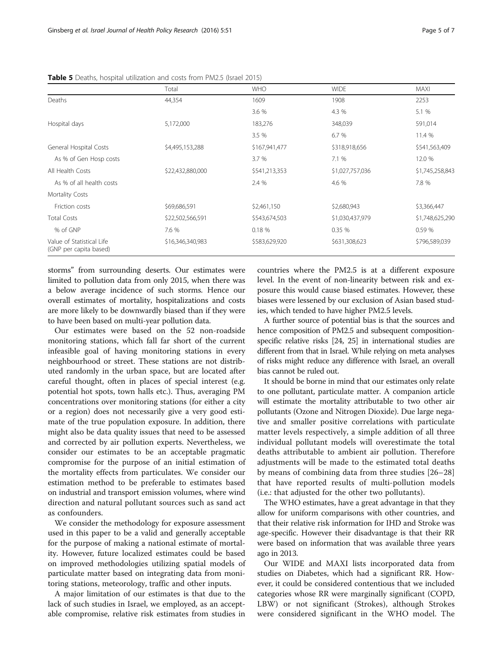|                                                     | Total            | <b>WHO</b>    | <b>WIDE</b>     | <b>MAXI</b>     |
|-----------------------------------------------------|------------------|---------------|-----------------|-----------------|
| Deaths                                              | 44,354           | 1609          | 1908            | 2253            |
|                                                     |                  | 3.6 %         | 4.3 %           | 5.1 %           |
| Hospital days                                       | 5,172,000        | 183,276       | 348,039         | 591,014         |
|                                                     |                  | 3.5 %         | 6.7 %           | 11.4 %          |
| General Hospital Costs                              | \$4,495,153,288  | \$167,941,477 | \$318,918,656   | \$541,563,409   |
| As % of Gen Hosp costs                              |                  | 3.7 %         | 7.1%            | 12.0 %          |
| All Health Costs                                    | \$22,432,880,000 | \$541,213,353 | \$1,027,757,036 | \$1,745,258,843 |
| As % of all health costs                            |                  | 2.4 %         | 4.6 %           | 7.8 %           |
| <b>Mortality Costs</b>                              |                  |               |                 |                 |
| Friction costs                                      | \$69,686,591     | \$2,461,150   | \$2,680,943     | \$3,366,447     |
| <b>Total Costs</b>                                  | \$22,502,566,591 | \$543,674,503 | \$1,030,437,979 | \$1,748,625,290 |
| % of GNP                                            | 7.6 %            | 0.18%         | 0.35%           | 0.59%           |
| Value of Statistical Life<br>(GNP per capita based) | \$16,346,340,983 | \$583,629,920 | \$631,308,623   | \$796,589,039   |

<span id="page-4-0"></span>Table 5 Deaths, hospital utilization and costs from PM2.5 (Israel 2015)

storms" from surrounding deserts. Our estimates were limited to pollution data from only 2015, when there was a below average incidence of such storms. Hence our overall estimates of mortality, hospitalizations and costs are more likely to be downwardly biased than if they were to have been based on multi-year pollution data.

Our estimates were based on the 52 non-roadside monitoring stations, which fall far short of the current infeasible goal of having monitoring stations in every neighbourhood or street. These stations are not distributed randomly in the urban space, but are located after careful thought, often in places of special interest (e.g. potential hot spots, town halls etc.). Thus, averaging PM concentrations over monitoring stations (for either a city or a region) does not necessarily give a very good estimate of the true population exposure. In addition, there might also be data quality issues that need to be assessed and corrected by air pollution experts. Nevertheless, we consider our estimates to be an acceptable pragmatic compromise for the purpose of an initial estimation of the mortality effects from particulates. We consider our estimation method to be preferable to estimates based on industrial and transport emission volumes, where wind direction and natural pollutant sources such as sand act as confounders.

We consider the methodology for exposure assessment used in this paper to be a valid and generally acceptable for the purpose of making a national estimate of mortality. However, future localized estimates could be based on improved methodologies utilizing spatial models of particulate matter based on integrating data from monitoring stations, meteorology, traffic and other inputs.

A major limitation of our estimates is that due to the lack of such studies in Israel, we employed, as an acceptable compromise, relative risk estimates from studies in countries where the PM2.5 is at a different exposure level. In the event of non-linearity between risk and exposure this would cause biased estimates. However, these biases were lessened by our exclusion of Asian based studies, which tended to have higher PM2.5 levels.

A further source of potential bias is that the sources and hence composition of PM2.5 and subsequent compositionspecific relative risks [\[24](#page-6-0), [25](#page-6-0)] in international studies are different from that in Israel. While relying on meta analyses of risks might reduce any difference with Israel, an overall bias cannot be ruled out.

It should be borne in mind that our estimates only relate to one pollutant, particulate matter. A companion article will estimate the mortality attributable to two other air pollutants (Ozone and Nitrogen Dioxide). Due large negative and smaller positive correlations with particulate matter levels respectively, a simple addition of all three individual pollutant models will overestimate the total deaths attributable to ambient air pollution. Therefore adjustments will be made to the estimated total deaths by means of combining data from three studies [\[26](#page-6-0)–[28](#page-6-0)] that have reported results of multi-pollution models (i.e.: that adjusted for the other two pollutants).

The WHO estimates, have a great advantage in that they allow for uniform comparisons with other countries, and that their relative risk information for IHD and Stroke was age-specific. However their disadvantage is that their RR were based on information that was available three years ago in 2013.

Our WIDE and MAXI lists incorporated data from studies on Diabetes, which had a significant RR. However, it could be considered contentious that we included categories whose RR were marginally significant (COPD, LBW) or not significant (Strokes), although Strokes were considered significant in the WHO model. The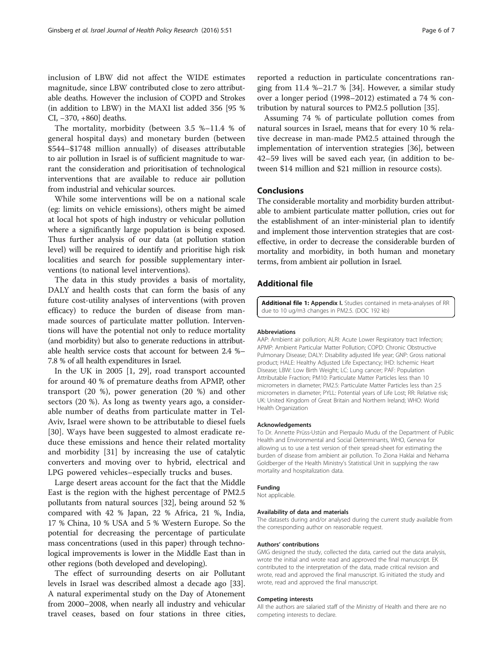<span id="page-5-0"></span>inclusion of LBW did not affect the WIDE estimates magnitude, since LBW contributed close to zero attributable deaths. However the inclusion of COPD and Strokes (in addition to LBW) in the MAXI list added 356 [95 % CI, −370, +860] deaths.

The mortality, morbidity (between 3.5 %–11.4 % of general hospital days) and monetary burden (between \$544–\$1748 million annually) of diseases attributable to air pollution in Israel is of sufficient magnitude to warrant the consideration and prioritisation of technological interventions that are available to reduce air pollution from industrial and vehicular sources.

While some interventions will be on a national scale (eg: limits on vehicle emissions), others might be aimed at local hot spots of high industry or vehicular pollution where a significantly large population is being exposed. Thus further analysis of our data (at pollution station level) will be required to identify and prioritise high risk localities and search for possible supplementary interventions (to national level interventions).

The data in this study provides a basis of mortality, DALY and health costs that can form the basis of any future cost-utility analyses of interventions (with proven efficacy) to reduce the burden of disease from manmade sources of particulate matter pollution. Interventions will have the potential not only to reduce mortality (and morbidity) but also to generate reductions in attributable health service costs that account for between 2.4 %– 7.8 % of all health expenditures in Israel.

In the UK in 2005 [[1, 29](#page-6-0)], road transport accounted for around 40 % of premature deaths from APMP, other transport (20 %), power generation (20 %) and other sectors (20 %). As long as twenty years ago, a considerable number of deaths from particulate matter in Tel-Aviv, Israel were shown to be attributable to diesel fuels [[30\]](#page-6-0). Ways have been suggested to almost eradicate reduce these emissions and hence their related mortality and morbidity [[31](#page-6-0)] by increasing the use of catalytic converters and moving over to hybrid, electrical and LPG powered vehicles–especially trucks and buses.

Large desert areas account for the fact that the Middle East is the region with the highest percentage of PM2.5 pollutants from natural sources [[32](#page-6-0)], being around 52 % compared with 42 % Japan, 22 % Africa, 21 %, India, 17 % China, 10 % USA and 5 % Western Europe. So the potential for decreasing the percentage of particulate mass concentrations (used in this paper) through technological improvements is lower in the Middle East than in other regions (both developed and developing).

The effect of surrounding deserts on air Pollutant levels in Israel was described almost a decade ago [\[33](#page-6-0)]. A natural experimental study on the Day of Atonement from 2000–2008, when nearly all industry and vehicular travel ceases, based on four stations in three cities, reported a reduction in particulate concentrations ranging from 11.4 %–21.7 % [[34\]](#page-6-0). However, a similar study over a longer period (1998–2012) estimated a 74 % contribution by natural sources to PM2.5 pollution [\[35](#page-6-0)].

Assuming 74 % of particulate pollution comes from natural sources in Israel, means that for every 10 % relative decrease in man-made PM2.5 attained through the implementation of intervention strategies [[36](#page-6-0)], between 42–59 lives will be saved each year, (in addition to between \$14 million and \$21 million in resource costs).

#### Conclusions

The considerable mortality and morbidity burden attributable to ambient particulate matter pollution, cries out for the establishment of an inter-ministerial plan to identify and implement those intervention strategies that are costeffective, in order to decrease the considerable burden of mortality and morbidity, in both human and monetary terms, from ambient air pollution in Israel.

# Additional file

[Additional file 1:](dx.doi.org/10.1186/s13584-016-0110-7) Appendix I. Studies contained in meta-analyses of RR due to 10 ug/m3 changes in PM2.5. (DOC 192 kb)

#### Abbreviations

AAP: Ambient air pollution; ALRI: Acute Lower Respiratory tract Infection; APMP: Ambient Particular Matter Pollution; COPD: Chronic Obstructive Pulmonary Disease; DALY: Disability adjusted life year; GNP: Gross national product; HALE: Healthy Adjusted Life Expectancy; IHD: Ischemic Heart Disease; LBW: Low Birth Weight; LC: Lung cancer; PAF: Population Attributable Fraction; PM10: Particulate Matter Particles less than 10 micrometers in diameter; PM2.5: Particulate Matter Particles less than 2.5 micrometers in diameter; PYLL: Potential years of Life Lost; RR: Relative risk; UK: United Kingdom of Great Britain and Northern Ireland; WHO: World Health Organization

#### Acknowledgements

To Dr. Annette Prüss-Ustün and Pierpaulo Mudu of the Department of Public Health and Environmental and Social Determinants, WHO, Geneva for allowing us to use a test version of their spread-sheet for estimating the burden of disease from ambient air pollution. To Ziona Haklai and Nehama Goldberger of the Health Ministry's Statistical Unit in supplying the raw mortality and hospitalization data.

#### Funding

Not applicable.

#### Availability of data and materials

The datasets during and/or analysed during the current study available from the corresponding author on reasonable request.

#### Authors' contributions

GMG designed the study, collected the data, carried out the data analysis, wrote the initial and wrote read and approved the final manuscript. EK contributed to the interpretation of the data, made critical revision and wrote, read and approved the final manuscript. IG initiated the study and wrote, read and approved the final manuscript.

#### Competing interests

All the authors are salaried staff of the Ministry of Health and there are no competing interests to declare.